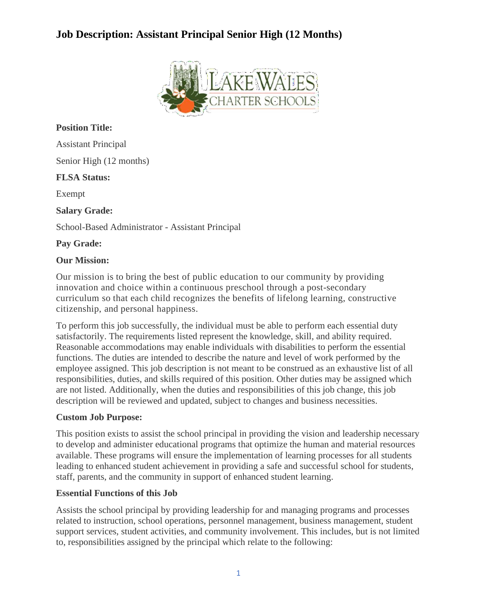

### **Position Title:**

Assistant Principal Senior High (12 months)

### **FLSA Status:**

Exempt

### **Salary Grade:**

School-Based Administrator - Assistant Principal

### **Pay Grade:**

### **Our Mission:**

Our mission is to bring the best of public education to our community by providing innovation and choice within a continuous preschool through a post-secondary curriculum so that each child recognizes the benefits of lifelong learning, constructive citizenship, and personal happiness.

To perform this job successfully, the individual must be able to perform each essential duty satisfactorily. The requirements listed represent the knowledge, skill, and ability required. Reasonable accommodations may enable individuals with disabilities to perform the essential functions. The duties are intended to describe the nature and level of work performed by the employee assigned. This job description is not meant to be construed as an exhaustive list of all responsibilities, duties, and skills required of this position. Other duties may be assigned which are not listed. Additionally, when the duties and responsibilities of this job change, this job description will be reviewed and updated, subject to changes and business necessities.

### **Custom Job Purpose:**

This position exists to assist the school principal in providing the vision and leadership necessary to develop and administer educational programs that optimize the human and material resources available. These programs will ensure the implementation of learning processes for all students leading to enhanced student achievement in providing a safe and successful school for students, staff, parents, and the community in support of enhanced student learning.

### **Essential Functions of this Job**

Assists the school principal by providing leadership for and managing programs and processes related to instruction, school operations, personnel management, business management, student support services, student activities, and community involvement. This includes, but is not limited to, responsibilities assigned by the principal which relate to the following: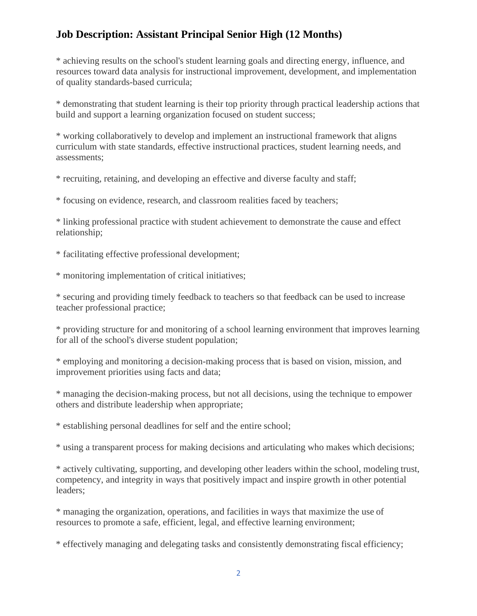\* achieving results on the school's student learning goals and directing energy, influence, and resources toward data analysis for instructional improvement, development, and implementation of quality standards-based curricula;

\* demonstrating that student learning is their top priority through practical leadership actions that build and support a learning organization focused on student success;

\* working collaboratively to develop and implement an instructional framework that aligns curriculum with state standards, effective instructional practices, student learning needs, and assessments;

\* recruiting, retaining, and developing an effective and diverse faculty and staff;

\* focusing on evidence, research, and classroom realities faced by teachers;

\* linking professional practice with student achievement to demonstrate the cause and effect relationship;

\* facilitating effective professional development;

\* monitoring implementation of critical initiatives;

\* securing and providing timely feedback to teachers so that feedback can be used to increase teacher professional practice;

\* providing structure for and monitoring of a school learning environment that improves learning for all of the school's diverse student population;

\* employing and monitoring a decision-making process that is based on vision, mission, and improvement priorities using facts and data;

\* managing the decision-making process, but not all decisions, using the technique to empower others and distribute leadership when appropriate;

\* establishing personal deadlines for self and the entire school;

\* using a transparent process for making decisions and articulating who makes which decisions;

\* actively cultivating, supporting, and developing other leaders within the school, modeling trust, competency, and integrity in ways that positively impact and inspire growth in other potential leaders;

\* managing the organization, operations, and facilities in ways that maximize the use of resources to promote a safe, efficient, legal, and effective learning environment;

\* effectively managing and delegating tasks and consistently demonstrating fiscal efficiency;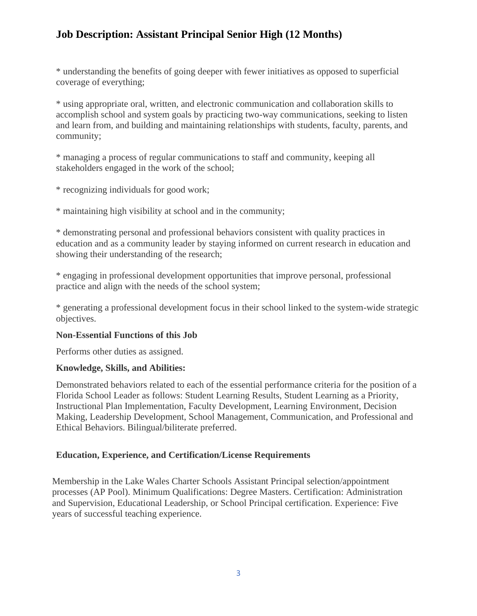\* understanding the benefits of going deeper with fewer initiatives as opposed to superficial coverage of everything;

\* using appropriate oral, written, and electronic communication and collaboration skills to accomplish school and system goals by practicing two-way communications, seeking to listen and learn from, and building and maintaining relationships with students, faculty, parents, and community;

\* managing a process of regular communications to staff and community, keeping all stakeholders engaged in the work of the school;

\* recognizing individuals for good work;

\* maintaining high visibility at school and in the community;

\* demonstrating personal and professional behaviors consistent with quality practices in education and as a community leader by staying informed on current research in education and showing their understanding of the research;

\* engaging in professional development opportunities that improve personal, professional practice and align with the needs of the school system;

\* generating a professional development focus in their school linked to the system-wide strategic objectives.

### **Non-Essential Functions of this Job**

Performs other duties as assigned.

### **Knowledge, Skills, and Abilities:**

Demonstrated behaviors related to each of the essential performance criteria for the position of a Florida School Leader as follows: Student Learning Results, Student Learning as a Priority, Instructional Plan Implementation, Faculty Development, Learning Environment, Decision Making, Leadership Development, School Management, Communication, and Professional and Ethical Behaviors. Bilingual/biliterate preferred.

## **Education, Experience, and Certification/License Requirements**

Membership in the Lake Wales Charter Schools Assistant Principal selection/appointment processes (AP Pool). Minimum Qualifications: Degree Masters. Certification: Administration and Supervision, Educational Leadership, or School Principal certification. Experience: Five years of successful teaching experience.